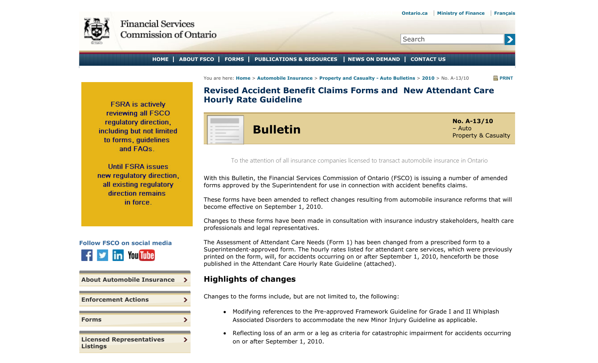<span id="page-0-0"></span>

 $\blacktriangleright$ 

Search

**HOME ABOUT FSCO FORMS PUBLICATIONS & RESOURCES NEWS ON DEMAND CONTACT US**

You are here: **Home** > **Automobile Insurance** > **Property and Casualty - Auto Bulletins** > **2010** > No. A-13/10 **PRINT**

**FSRA** is actively reviewing all FSCO regulatory direction. including but not limited to forms, quidelines and FAQs.

**Until FSRA issues** new regulatory direction. all existing regulatory direction remains in force.



| <b>About Automobile Insurance</b> | э. |
|-----------------------------------|----|
| <b>Enforcement Actions</b>        |    |
|                                   |    |
| <b>Forms</b>                      |    |
| <b>Licensed Representatives</b>   |    |
| <b>Listings</b>                   |    |

**Revised Accident Benefit Claims Forms and New Attendant Care Hourly Rate Guideline**



To the attention of all insurance companies licensed to transact automobile insurance in Ontario

With this Bulletin, the Financial Services Commission of Ontario (FSCO) is issuing a number of amended forms approved by the Superintendent for use in connection with accident benefits claims.

These forms have been amended to reflect changes resulting from automobile insurance reforms that will become effective on September 1, 2010.

Changes to these forms have been made in consultation with insurance industry stakeholders, health care professionals and legal representatives.

The Assessment of Attendant Care Needs (Form 1) has been changed from a prescribed form to a Superintendent-approved form. The hourly rates listed for attendant care services, which were previously printed on the form, will, for accidents occurring on or after September 1, 2010, henceforth be those published in the Attendant Care Hourly Rate Guideline (attached).

# **Highlights of changes**

Changes to the forms include, but are not limited to, the following:

- Modifying references to the Pre-approved Framework Guideline for Grade I and II Whiplash Associated Disorders to accommodate the new Minor Injury Guideline as applicable.
- Reflecting loss of an arm or a leg as criteria for catastrophic impairment for accidents occurring on or after September 1, 2010.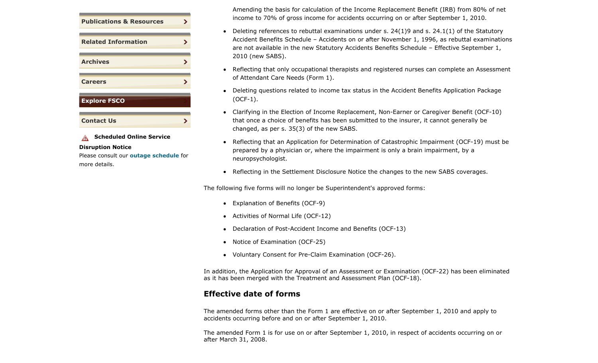

**A** Scheduled Online Service

#### **Disruption Notice**

Please consult our **outage schedule** for more details.

Amending the basis for calculation of the Income Replacement Benefit (IRB) from 80% of net income to 70% of gross income for accidents occurring on or after September 1, 2010.

- Deleting references to rebuttal examinations under s.  $24(1)9$  and s.  $24.1(1)$  of the Statutory Accident Benefits Schedule – Accidents on or after November 1, 1996, as rebuttal examinations are not available in the new Statutory Accidents Benefits Schedule – Effective September 1, 2010 (new SABS).
- Reflecting that only occupational therapists and registered nurses can complete an Assessment  $\bullet$ of Attendant Care Needs (Form 1).
- Deleting questions related to income tax status in the Accident Benefits Application Package (OCF-1).
- Clarifying in the Election of Income Replacement, Non-Earner or Caregiver Benefit (OCF-10) that once a choice of benefits has been submitted to the insurer, it cannot generally be changed, as per s. 35(3) of the new SABS.
- Reflecting that an Application for Determination of Catastrophic Impairment (OCF-19) must be prepared by a physician or, where the impairment is only a brain impairment, by a neuropsychologist.
- Reflecting in the Settlement Disclosure Notice the changes to the new SABS coverages.

The following five forms will no longer be Superintendent's approved forms:

- Explanation of Benefits (OCF-9)
- Activities of Normal Life (OCF-12)
- Declaration of Post-Accident Income and Benefits (OCF-13)
- Notice of Examination (OCF-25)
- Voluntary Consent for Pre-Claim Examination (OCF-26).

In addition, the Application for Approval of an Assessment or Examination (OCF-22) has been eliminated as it has been merged with the Treatment and Assessment Plan (OCF-18).

# **Effective date of forms**

The amended forms other than the Form 1 are effective on or after September 1, 2010 and apply to accidents occurring before and on or after September 1, 2010.

The amended Form 1 is for use on or after September 1, 2010, in respect of accidents occurring on or after March 31, 2008.